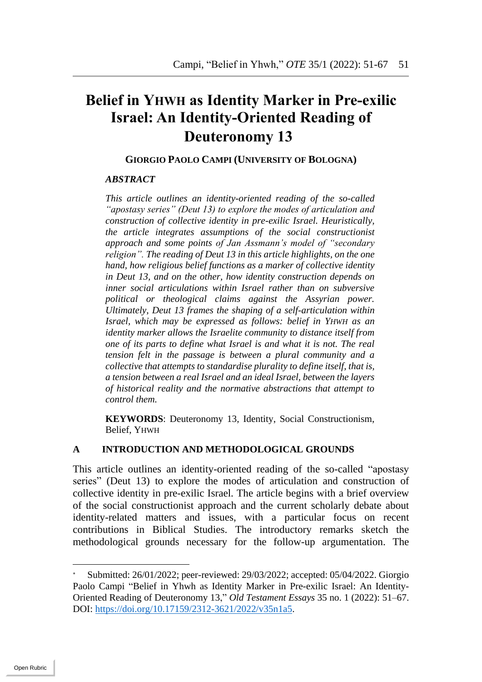# **Belief in YHWH as Identity Marker in Pre-exilic Israel: An Identity-Oriented Reading of Deuteronomy 13**

#### **GIORGIO PAOLO CAMPI (UNIVERSITY OF BOLOGNA)**

#### *ABSTRACT*

*This article outlines an identity-oriented reading of the so-called "apostasy series" (Deut 13) to explore the modes of articulation and construction of collective identity in pre-exilic Israel. Heuristically, the article integrates assumptions of the social constructionist approach and some points of Jan Assmann's model of "secondary religion". The reading of Deut 13 in this article highlights, on the one hand, how religious belief functions as a marker of collective identity in Deut 13, and on the other, how identity construction depends on inner social articulations within Israel rather than on subversive political or theological claims against the Assyrian power. Ultimately, Deut 13 frames the shaping of a self-articulation within Israel, which may be expressed as follows: belief in YHWH as an identity marker allows the Israelite community to distance itself from one of its parts to define what Israel is and what it is not. The real tension felt in the passage is between a plural community and a collective that attempts to standardise plurality to define itself, that is, a tension between a real Israel and an ideal Israel, between the layers of historical reality and the normative abstractions that attempt to control them.*

**KEYWORDS**: Deuteronomy 13, Identity, Social Constructionism, Belief, YHWH

### **A INTRODUCTION AND METHODOLOGICAL GROUNDS**

This article outlines an identity-oriented reading of the so-called "apostasy series" (Deut 13) to explore the modes of articulation and construction of collective identity in pre-exilic Israel. The article begins with a brief overview of the social constructionist approach and the current scholarly debate about identity-related matters and issues, with a particular focus on recent contributions in Biblical Studies. The introductory remarks sketch the methodological grounds necessary for the follow-up argumentation. The

Submitted: 26/01/2022; peer-reviewed: 29/03/2022; accepted: 05/04/2022. Giorgio Paolo Campi "Belief in Yhwh as Identity Marker in Pre-exilic Israel: An Identity-Oriented Reading of Deuteronomy 13," *Old Testament Essays* 35 no. 1 (2022): 51–67. DOI: https://doi.org/10.17159/2312-3621/2022/v35n1a5.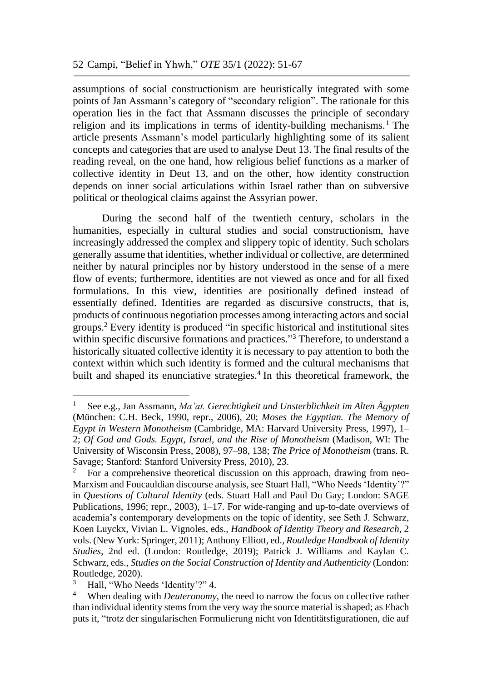assumptions of social constructionism are heuristically integrated with some points of Jan Assmann's category of "secondary religion". The rationale for this operation lies in the fact that Assmann discusses the principle of secondary religion and its implications in terms of identity-building mechanisms. <sup>1</sup> The article presents Assmann's model particularly highlighting some of its salient concepts and categories that are used to analyse Deut 13. The final results of the reading reveal, on the one hand, how religious belief functions as a marker of collective identity in Deut 13, and on the other, how identity construction depends on inner social articulations within Israel rather than on subversive political or theological claims against the Assyrian power.

During the second half of the twentieth century, scholars in the humanities, especially in cultural studies and social constructionism, have increasingly addressed the complex and slippery topic of identity. Such scholars generally assume that identities, whether individual or collective, are determined neither by natural principles nor by history understood in the sense of a mere flow of events; furthermore, identities are not viewed as once and for all fixed formulations. In this view, identities are positionally defined instead of essentially defined. Identities are regarded as discursive constructs, that is, products of continuous negotiation processes among interacting actors and social groups.<sup>2</sup> Every identity is produced "in specific historical and institutional sites within specific discursive formations and practices."<sup>3</sup> Therefore, to understand a historically situated collective identity it is necessary to pay attention to both the context within which such identity is formed and the cultural mechanisms that built and shaped its enunciative strategies. 4 In this theoretical framework, the

<u>.</u>

<sup>1</sup> See e.g., Jan Assmann, *Ma'at. Gerechtigkeit und Unsterblichkeit im Alten Ägypten* (München: C.H. Beck, 1990, repr., 2006), 20; *Moses the Egyptian. The Memory of Egypt in Western Monotheism* (Cambridge, MA: Harvard University Press, 1997), 1– 2; *Of God and Gods. Egypt, Israel, and the Rise of Monotheism* (Madison, WI: The University of Wisconsin Press, 2008), 97–98, 138; *The Price of Monotheism* (trans. R. Savage; Stanford: Stanford University Press, 2010), 23.

<sup>&</sup>lt;sup>2</sup> For a comprehensive theoretical discussion on this approach, drawing from neo-Marxism and Foucauldian discourse analysis, see Stuart Hall, "Who Needs 'Identity'?" in *Questions of Cultural Identity* (eds. Stuart Hall and Paul Du Gay; London: SAGE Publications, 1996; repr., 2003), 1–17. For wide-ranging and up-to-date overviews of academia's contemporary developments on the topic of identity, see Seth J. Schwarz, Koen Luyckx, Vivian L. Vignoles, eds., *Handbook of Identity Theory and Research*, 2 vols. (New York: Springer, 2011); Anthony Elliott, ed., *Routledge Handbook of Identity Studies*, 2nd ed. (London: Routledge, 2019); Patrick J. Williams and Kaylan C. Schwarz, eds., *Studies on the Social Construction of Identity and Authenticity* (London: Routledge, 2020).

Hall, "Who Needs 'Identity'?" 4.

<sup>&</sup>lt;sup>4</sup> When dealing with *Deuteronomy*, the need to narrow the focus on collective rather than individual identity stems from the very way the source material is shaped; as Ebach puts it, "trotz der singularischen Formulierung nicht von Identitätsfigurationen, die auf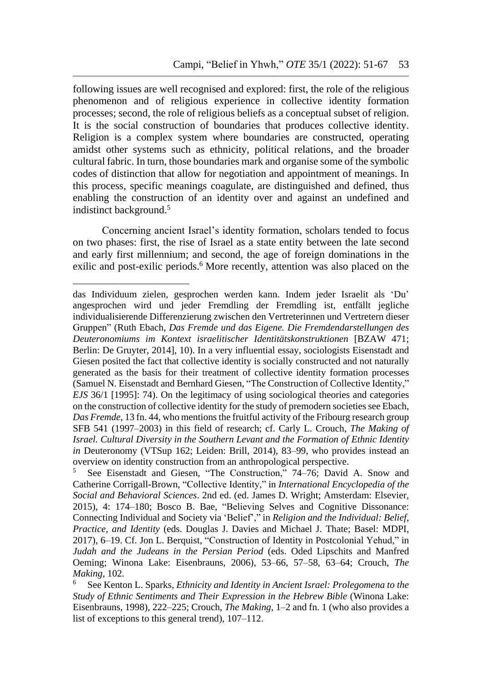following issues are well recognised and explored: first, the role of the religious phenomenon and of religious experience in collective identity formation processes; second, the role of religious beliefs as a conceptual subset of religion. It is the social construction of boundaries that produces collective identity. Religion is a complex system where boundaries are constructed, operating amidst other systems such as ethnicity, political relations, and the broader cultural fabric. In turn, those boundaries mark and organise some of the symbolic codes of distinction that allow for negotiation and appointment of meanings. In this process, specific meanings coagulate, are distinguished and defined, thus enabling the construction of an identity over and against an undefined and indistinct background. 5

Concerning ancient Israel's identity formation, scholars tended to focus on two phases: first, the rise of Israel as a state entity between the late second and early first millennium; and second, the age of foreign dominations in the exilic and post-exilic periods.<sup>6</sup> More recently, attention was also placed on the

<u>.</u>

<sup>5</sup> See Eisenstadt and Giesen, "The Construction," 74–76; David A. Snow and Catherine Corrigall-Brown, "Collective Identity," in *International Encyclopedia of the Social and Behavioral Sciences*. 2nd ed. (ed. James D. Wright; Amsterdam: Elsevier, 2015), 4: 174–180; Bosco B. Bae, "Believing Selves and Cognitive Dissonance: Connecting Individual and Society via 'Belief'," in *Religion and the Individual: Belief, Practice, and Identity* (eds. Douglas J. Davies and Michael J. Thate; Basel: MDPI, 2017), 6–19. Cf. Jon L. Berquist, "Construction of Identity in Postcolonial Yehud," in *Judah and the Judeans in the Persian Period* (eds. Oded Lipschits and Manfred Oeming; Winona Lake: Eisenbrauns, 2006), 53–66, 57–58, 63–64; Crouch, *The Making*, 102.

<sup>6</sup> See Kenton L. Sparks, *Ethnicity and Identity in Ancient Israel: Prolegomena to the Study of Ethnic Sentiments and Their Expression in the Hebrew Bible* (Winona Lake: Eisenbrauns, 1998), 222–225; Crouch, *The Making*, 1–2 and fn. 1 (who also provides a list of exceptions to this general trend), 107–112.

das Individuum zielen, gesprochen werden kann. Indem jeder Israelit als 'Du' angesprochen wird und jeder Fremdling der Fremdling ist, entfällt jegliche individualisierende Differenzierung zwischen den Vertreterinnen und Vertretern dieser Gruppen" (Ruth Ebach, *Das Fremde und das Eigene. Die Fremdendarstellungen des Deuteronomiums im Kontext israelitischer Identitätskonstruktionen* [BZAW 471; Berlin: De Gruyter, 2014], 10). In a very influential essay, sociologists Eisenstadt and Giesen posited the fact that collective identity is socially constructed and not naturally generated as the basis for their treatment of collective identity formation processes (Samuel N. Eisenstadt and Bernhard Giesen, "The Construction of Collective Identity," *EJS* 36/1 [1995]: 74). On the legitimacy of using sociological theories and categories on the construction of collective identity for the study of premodern societies see Ebach, *Das Fremde*, 13 fn. 44, who mentions the fruitful activity of the Fribourg research group SFB 541 (1997–2003) in this field of research; cf. Carly L. Crouch, *The Making of Israel. Cultural Diversity in the Southern Levant and the Formation of Ethnic Identity in* Deuteronomy (VTSup 162; Leiden: Brill, 2014), 83–99, who provides instead an overview on identity construction from an anthropological perspective.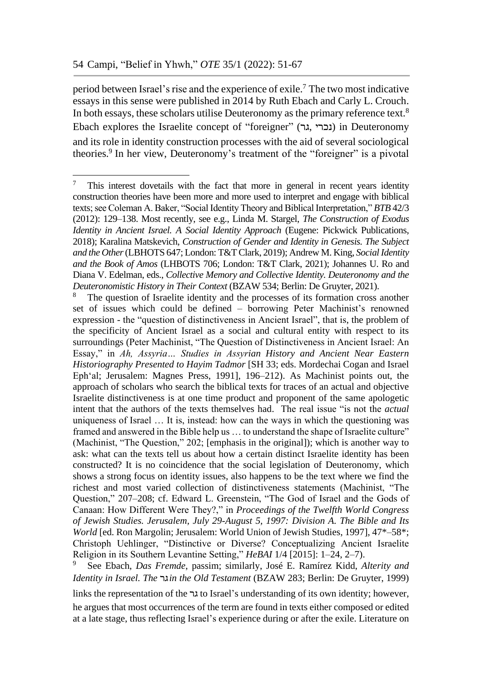<u>.</u>

period between Israel's rise and the experience of exile. <sup>7</sup> The two most indicative essays in this sense were published in 2014 by Ruth Ebach and Carly L. Crouch. In both essays, these scholars utilise Deuteronomy as the primary reference text.<sup>8</sup> Ebach explores the Israelite concept of "foreigner" (נכרי גר) in Deuteronomy and its role in identity construction processes with the aid of several sociological theories. 9 In her view, Deuteronomy's treatment of the "foreigner" is a pivotal

links the representation of the גר to Israel's understanding of its own identity; however, he argues that most occurrences of the term are found in texts either composed or edited at a late stage, thus reflecting Israel's experience during or after the exile. Literature on

 $\frac{7}{1}$  This interest dovetails with the fact that more in general in recent years identity construction theories have been more and more used to interpret and engage with biblical texts; see Coleman A. Baker, "Social Identity Theory and Biblical Interpretation," *BTB* 42/3 (2012): 129–138. Most recently, see e.g., Linda M. Stargel, *The Construction of Exodus Identity in Ancient Israel. A Social Identity Approach* (Eugene: Pickwick Publications, 2018); Karalina Matskevich, *Construction of Gender and Identity in Genesis. The Subject and the Other*(LBHOTS 647; London: T&T Clark, 2019); Andrew M. King, *Social Identity and the Book of Amos* (LHBOTS 706; London: T&T Clark, 2021); Johannes U. Ro and Diana V. Edelman, eds., *Collective Memory and Collective Identity. Deuteronomy and the Deuteronomistic History in Their Context* (BZAW 534; Berlin: De Gruyter, 2021).

The question of Israelite identity and the processes of its formation cross another set of issues which could be defined – borrowing Peter Machinist's renowned expression - the "question of distinctiveness in Ancient Israel", that is, the problem of the specificity of Ancient Israel as a social and cultural entity with respect to its surroundings (Peter Machinist, "The Question of Distinctiveness in Ancient Israel: An Essay," in *Ah, Assyria… Studies in Assyrian History and Ancient Near Eastern Historiography Presented to Hayim Tadmor* [SH 33; eds. Mordechai Cogan and Israel Eph'al; Jerusalem: Magnes Press, 1991], 196–212). As Machinist points out, the approach of scholars who search the biblical texts for traces of an actual and objective Israelite distinctiveness is at one time product and proponent of the same apologetic intent that the authors of the texts themselves had. The real issue "is not the *actual*  uniqueness of Israel … It is, instead: how can the ways in which the questioning was framed and answered in the Bible help us … to understand the shape of Israelite culture" (Machinist, "The Question," 202; [emphasis in the original]); which is another way to ask: what can the texts tell us about how a certain distinct Israelite identity has been constructed? It is no coincidence that the social legislation of Deuteronomy, which shows a strong focus on identity issues, also happens to be the text where we find the richest and most varied collection of distinctiveness statements (Machinist, "The Question," 207–208; cf. Edward L. Greenstein, "The God of Israel and the Gods of Canaan: How Different Were They?," in *Proceedings of the Twelfth World Congress of Jewish Studies. Jerusalem, July 29-August 5, 1997: Division A. The Bible and Its World* [ed. Ron Margolin; Jerusalem: World Union of Jewish Studies, 1997], 47\*–58\*; Christoph Uehlinger, "Distinctive or Diverse? Conceptualizing Ancient Israelite Religion in its Southern Levantine Setting," *HeBAI* 1/4 [2015]: 1–24, 2–7).

<sup>9</sup> See Ebach, *Das Fremde*, passim; similarly, José E. Ramírez Kidd, *Alterity and Identity in Israel. The* גר*in the Old Testament* (BZAW 283; Berlin: De Gruyter, 1999)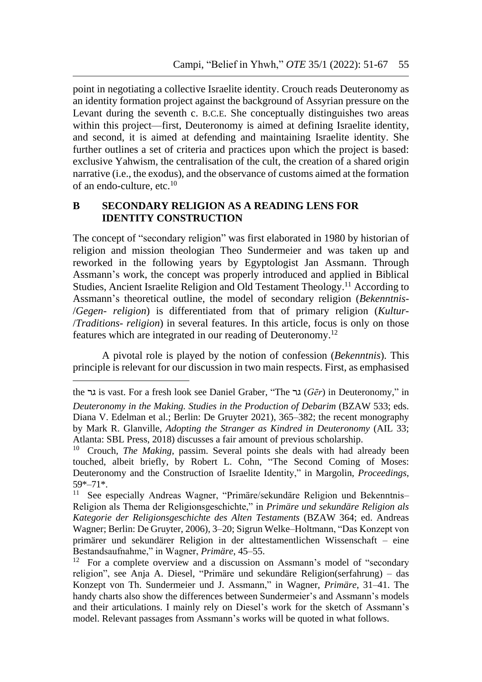point in negotiating a collective Israelite identity. Crouch reads Deuteronomy as an identity formation project against the background of Assyrian pressure on the Levant during the seventh c. B.C.E. She conceptually distinguishes two areas within this project—first, Deuteronomy is aimed at defining Israelite identity, and second, it is aimed at defending and maintaining Israelite identity. She further outlines a set of criteria and practices upon which the project is based: exclusive Yahwism, the centralisation of the cult, the creation of a shared origin narrative (i.e., the exodus), and the observance of customs aimed at the formation of an endo-culture, etc. 10

## **B SECONDARY RELIGION AS A READING LENS FOR IDENTITY CONSTRUCTION**

The concept of "secondary religion" was first elaborated in 1980 by historian of religion and mission theologian Theo Sundermeier and was taken up and reworked in the following years by Egyptologist Jan Assmann. Through Assmann's work, the concept was properly introduced and applied in Biblical Studies, Ancient Israelite Religion and Old Testament Theology.<sup>11</sup> According to Assmann's theoretical outline, the model of secondary religion (*Bekenntnis*- /*Gegen- religion*) is differentiated from that of primary religion (*Kultur-* /*Traditions- religion*) in several features. In this article, focus is only on those features which are integrated in our reading of Deuteronomy.<sup>12</sup>

A pivotal role is played by the notion of confession (*Bekenntnis*). This principle is relevant for our discussion in two main respects. First, as emphasised

<u>.</u>

the גר is vast. For a fresh look see Daniel Graber, "The גר) *Gēr*) in Deuteronomy," in *Deuteronomy in the Making. Studies in the Production of Debarim* (BZAW 533; eds. Diana V. Edelman et al.; Berlin: De Gruyter 2021), 365–382; the recent monography by Mark R. Glanville, *Adopting the Stranger as Kindred in Deuteronomy* (AIL 33; Atlanta: SBL Press, 2018) discusses a fair amount of previous scholarship.<br><sup>10</sup> Crouch *The Making* passim Several points she deals with had all

<sup>10</sup> Crouch, *The Making*, passim. Several points she deals with had already been touched, albeit briefly, by Robert L. Cohn, "The Second Coming of Moses: Deuteronomy and the Construction of Israelite Identity," in Margolin, *Proceedings*,  $59^{*-71*}$ .<br><sup>11</sup> See f

See especially Andreas Wagner, "Primäre/sekundäre Religion und Bekenntnis-Religion als Thema der Religionsgeschichte," in *Primäre und sekundäre Religion als Kategorie der Religionsgeschichte des Alten Testaments* (BZAW 364; ed. Andreas Wagner; Berlin: De Gruyter, 2006), 3–20; Sigrun Welke–Holtmann, "Das Konzept von primärer und sekundärer Religion in der alttestamentlichen Wissenschaft – eine Bestandsaufnahme," in Wagner, *Primäre*, 45–55.

 $12$  For a complete overview and a discussion on Assmann's model of "secondary" religion", see Anja A. Diesel, "Primäre und sekundäre Religion(serfahrung) – das Konzept von Th. Sundermeier und J. Assmann," in Wagner, *Primäre*, 31–41. The handy charts also show the differences between Sundermeier's and Assmann's models and their articulations. I mainly rely on Diesel's work for the sketch of Assmann's model. Relevant passages from Assmann's works will be quoted in what follows.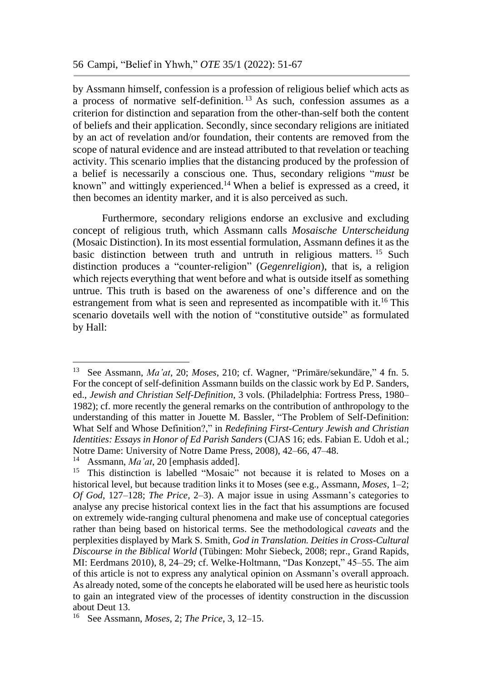by Assmann himself, confession is a profession of religious belief which acts as a process of normative self-definition. <sup>13</sup> As such, confession assumes as a criterion for distinction and separation from the other-than-self both the content of beliefs and their application. Secondly, since secondary religions are initiated by an act of revelation and/or foundation, their contents are removed from the scope of natural evidence and are instead attributed to that revelation or teaching activity. This scenario implies that the distancing produced by the profession of a belief is necessarily a conscious one. Thus, secondary religions "*must* be known" and wittingly experienced.<sup>14</sup> When a belief is expressed as a creed, it then becomes an identity marker, and it is also perceived as such.

Furthermore, secondary religions endorse an exclusive and excluding concept of religious truth, which Assmann calls *Mosaische Unterscheidung* (Mosaic Distinction). In its most essential formulation, Assmann defines it as the basic distinction between truth and untruth in religious matters. <sup>15</sup> Such distinction produces a "counter-religion" (*Gegenreligion*), that is, a religion which rejects everything that went before and what is outside itself as something untrue. This truth is based on the awareness of one's difference and on the estrangement from what is seen and represented as incompatible with it.<sup>16</sup> This scenario dovetails well with the notion of "constitutive outside" as formulated by Hall:

<sup>13</sup> See Assmann, *Ma'at*, 20; *Moses*, 210; cf. Wagner, "Primäre/sekundäre," 4 fn. 5. For the concept of self-definition Assmann builds on the classic work by Ed P. Sanders, ed., *Jewish and Christian Self-Definition*, 3 vols. (Philadelphia: Fortress Press, 1980– 1982); cf. more recently the general remarks on the contribution of anthropology to the understanding of this matter in Jouette M. Bassler, "The Problem of Self-Definition: What Self and Whose Definition?," in *Redefining First-Century Jewish and Christian Identities: Essays in Honor of Ed Parish Sanders* (CJAS 16; eds. Fabian E. Udoh et al.; Notre Dame: University of Notre Dame Press, 2008), 42–66, 47–48.<br><sup>14</sup> Assmann *Ma'at*, 20 Jamphasis addedl.

<sup>14</sup> Assmann, *Ma'at*, 20 [emphasis added].

<sup>&</sup>lt;sup>15</sup> This distinction is labelled "Mosaic" not because it is related to Moses on a historical level, but because tradition links it to Moses (see e.g., Assmann, *Moses*, 1–2; *Of God*, 127–128; *The Price*, 2–3). A major issue in using Assmann's categories to analyse any precise historical context lies in the fact that his assumptions are focused on extremely wide-ranging cultural phenomena and make use of conceptual categories rather than being based on historical terms. See the methodological *caveats* and the perplexities displayed by Mark S. Smith, *God in Translation. Deities in Cross-Cultural Discourse in the Biblical World* (Tübingen: Mohr Siebeck, 2008; repr., Grand Rapids, MI: Eerdmans 2010), 8, 24–29; cf. Welke-Holtmann, "Das Konzept," 45–55. The aim of this article is not to express any analytical opinion on Assmann's overall approach. As already noted, some of the concepts he elaborated will be used here as heuristic tools to gain an integrated view of the processes of identity construction in the discussion about Deut 13.

<sup>16</sup> See Assmann, *Moses*, 2; *The Price*, 3, 12–15.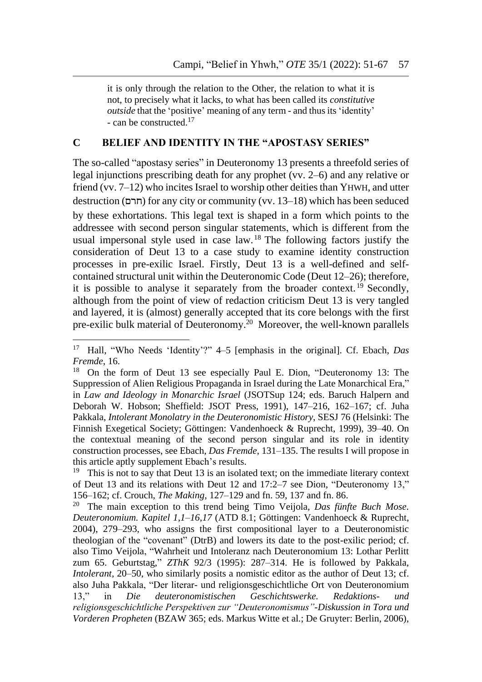it is only through the relation to the Other, the relation to what it is not, to precisely what it lacks, to what has been called its *constitutive outside* that the 'positive' meaning of any term - and thus its 'identity' - can be constructed.<sup>17</sup>

## **C BELIEF AND IDENTITY IN THE "APOSTASY SERIES"**

The so-called "apostasy series" in Deuteronomy 13 presents a threefold series of legal injunctions prescribing death for any prophet (vv. 2–6) and any relative or friend (vv.  $7-12$ ) who incites Israel to worship other deities than YHWH, and utter destruction (חרם) for any city or community (vv. 13–18) which has been seduced by these exhortations. This legal text is shaped in a form which points to the addressee with second person singular statements, which is different from the usual impersonal style used in case law. <sup>18</sup> The following factors justify the consideration of Deut 13 to a case study to examine identity construction processes in pre-exilic Israel. Firstly, Deut 13 is a well-defined and selfcontained structural unit within the Deuteronomic Code (Deut 12–26); therefore, it is possible to analyse it separately from the broader context. <sup>19</sup> Secondly, although from the point of view of redaction criticism Deut 13 is very tangled and layered, it is (almost) generally accepted that its core belongs with the first pre-exilic bulk material of Deuteronomy. 20 Moreover, the well-known parallels

<u>.</u>

<sup>17</sup> Hall, "Who Needs 'Identity'?" 4–5 [emphasis in the original]. Cf. Ebach, *Das Fremde*, 16.

<sup>&</sup>lt;sup>18</sup> On the form of Deut 13 see especially Paul E. Dion, "Deuteronomy 13: The Suppression of Alien Religious Propaganda in Israel during the Late Monarchical Era," in *Law and Ideology in Monarchic Israel* (JSOTSup 124; eds. Baruch Halpern and Deborah W. Hobson; Sheffield: JSOT Press, 1991), 147–216, 162–167; cf. Juha Pakkala, *Intolerant Monolatry in the Deuteronomistic History*, SESJ 76 (Helsinki: The Finnish Exegetical Society; Göttingen: Vandenhoeck & Ruprecht, 1999), 39–40. On the contextual meaning of the second person singular and its role in identity construction processes, see Ebach, *Das Fremde*, 131–135. The results I will propose in this article aptly supplement Ebach's results.

<sup>&</sup>lt;sup>19</sup> This is not to say that Deut 13 is an isolated text; on the immediate literary context of Deut 13 and its relations with Deut 12 and 17:2–7 see Dion, "Deuteronomy 13," 156–162; cf. Crouch, *The Making*, 127–129 and fn. 59, 137 and fn. 86.

<sup>20</sup> The main exception to this trend being Timo Veijola, *Das fünfte Buch Mose. Deuteronomium. Kapitel 1,1–16,17* (ATD 8.1; Göttingen: Vandenhoeck & Ruprecht, 2004), 279–293, who assigns the first compositional layer to a Deuteronomistic theologian of the "covenant" (DtrB) and lowers its date to the post-exilic period; cf. also Timo Veijola, "Wahrheit und Intoleranz nach Deuteronomium 13: Lothar Perlitt zum 65. Geburtstag," *ZThK* 92/3 (1995): 287–314. He is followed by Pakkala, *Intolerant*, 20–50, who similarly posits a nomistic editor as the author of Deut 13; cf. also Juha Pakkala, "Der literar- und religionsgeschichtliche Ort von Deuteronomium 13," in *Die deuteronomistischen Geschichtswerke. Redaktions- und religionsgeschichtliche Perspektiven zur "Deuteronomismus"-Diskussion in Tora und Vorderen Propheten* (BZAW 365; eds. Markus Witte et al.; De Gruyter: Berlin, 2006),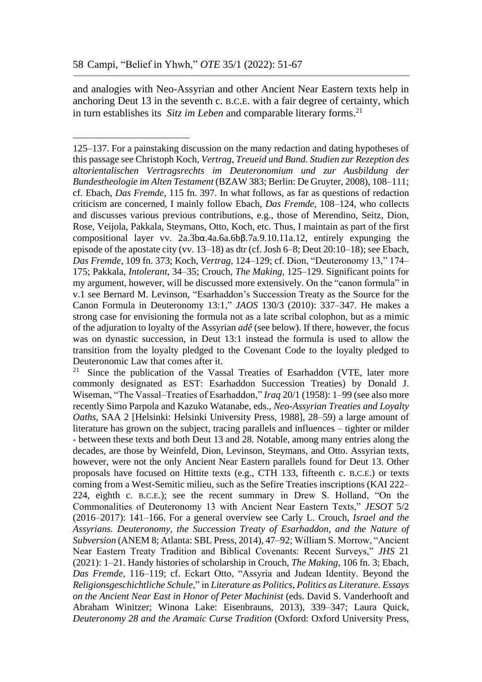<u>.</u>

and analogies with Neo-Assyrian and other Ancient Near Eastern texts help in anchoring Deut 13 in the seventh c. B.C.E. with a fair degree of certainty, which in turn establishes its *Sitz im Leben* and comparable literary forms. 21

<sup>125–137.</sup> For a painstaking discussion on the many redaction and dating hypotheses of this passage see Christoph Koch, *Vertrag, Treueid und Bund. Studien zur Rezeption des altorientalischen Vertragsrechts im Deuteronomium und zur Ausbildung der Bundestheologie im Alten Testament* (BZAW 383; Berlin: De Gruyter, 2008), 108–111; cf. Ebach, *Das Fremde*, 115 fn. 397. In what follows, as far as questions of redaction criticism are concerned, I mainly follow Ebach, *Das Fremde*, 108–124, who collects and discusses various previous contributions, e.g., those of Merendino, Seitz, Dion, Rose, Veijola, Pakkala, Steymans, Otto, Koch, etc. Thus, I maintain as part of the first compositional layer vv. 2a.3bα.4a.6a.6bβ.7a.9.10.11a.12, entirely expunging the episode of the apostate city (vv. 13–18) as dtr (cf. Josh 6–8; Deut 20:10–18); see Ebach, *Das Fremde*, 109 fn. 373; Koch, *Vertrag*, 124–129; cf. Dion, "Deuteronomy 13," 174– 175; Pakkala, *Intolerant*, 34–35; Crouch, *The Making*, 125–129. Significant points for my argument, however, will be discussed more extensively. On the "canon formula" in v.1 see Bernard M. Levinson, "Esarhaddon's Succession Treaty as the Source for the Canon Formula in Deuteronomy 13:1," *JAOS* 130/3 (2010): 337–347. He makes a strong case for envisioning the formula not as a late scribal colophon, but as a mimic of the adjuration to loyalty of the Assyrian *adê* (see below). If there, however, the focus was on dynastic succession, in Deut 13:1 instead the formula is used to allow the transition from the loyalty pledged to the Covenant Code to the loyalty pledged to Deuteronomic Law that comes after it.

<sup>&</sup>lt;sup>21</sup> Since the publication of the Vassal Treaties of Esarhaddon (VTE, later more commonly designated as EST: Esarhaddon Succession Treaties) by Donald J. Wiseman, "The Vassal–Treaties of Esarhaddon," *Iraq* 20/1 (1958): 1–99 (see also more recently Simo Parpola and Kazuko Watanabe, eds., *Neo-Assyrian Treaties and Loyalty Oaths*, SAA 2 [Helsinki: Helsinki University Press, 1988], 28–59) a large amount of literature has grown on the subject, tracing parallels and influences – tighter or milder - between these texts and both Deut 13 and 28. Notable, among many entries along the decades, are those by Weinfeld, Dion, Levinson, Steymans, and Otto. Assyrian texts, however, were not the only Ancient Near Eastern parallels found for Deut 13. Other proposals have focused on Hittite texts (e.g., CTH 133, fifteenth c. B.C.E.) or texts coming from a West-Semitic milieu, such as the Sefire Treaties inscriptions (KAI 222– 224, eighth c. B.C.E.); see the recent summary in Drew S. Holland, "On the Commonalities of Deuteronomy 13 with Ancient Near Eastern Texts," *JESOT* 5/2 (2016–2017): 141–166. For a general overview see Carly L. Crouch, *Israel and the Assyrians. Deuteronomy, the Succession Treaty of Esarhaddon, and the Nature of Subversion* (ANEM 8; Atlanta: SBL Press, 2014), 47–92; William S. Morrow, "Ancient Near Eastern Treaty Tradition and Biblical Covenants: Recent Surveys," *JHS* 21 (2021): 1–21. Handy histories of scholarship in Crouch, *The Making*, 106 fn. 3; Ebach, *Das Fremde*, 116–119; cf. Eckart Otto, "Assyria and Judean Identity. Beyond the *Religionsgeschichtliche Schule*," in *Literature as Politics, Politics as Literature. Essays on the Ancient Near East in Honor of Peter Machinist* (eds. David S. Vanderhooft and Abraham Winitzer; Winona Lake: Eisenbrauns, 2013), 339–347; Laura Quick, *Deuteronomy 28 and the Aramaic Curse Tradition* (Oxford: Oxford University Press,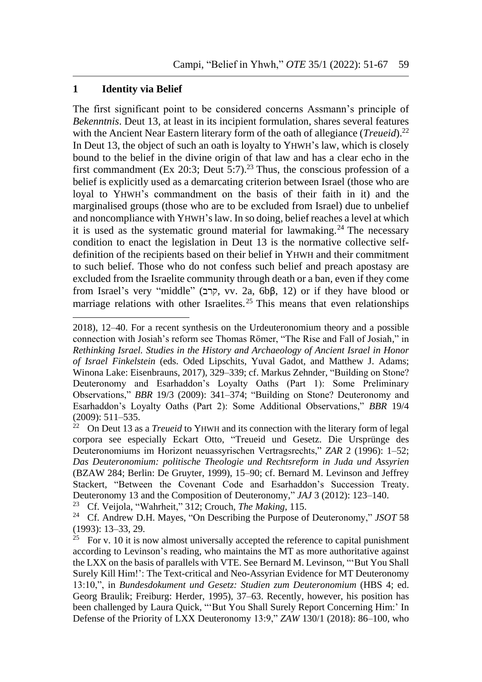#### **1 Identity via Belief**

1

The first significant point to be considered concerns Assmann's principle of *Bekenntnis*. Deut 13, at least in its incipient formulation, shares several features with the Ancient Near Eastern literary form of the oath of allegiance (*Treueid*).<sup>22</sup> In Deut 13, the object of such an oath is loyalty to YHWH's law, which is closely bound to the belief in the divine origin of that law and has a clear echo in the first commandment (Ex 20:3; Deut 5:7). <sup>23</sup> Thus, the conscious profession of a belief is explicitly used as a demarcating criterion between Israel (those who are loyal to YHWH's commandment on the basis of their faith in it) and the marginalised groups (those who are to be excluded from Israel) due to unbelief and noncompliance with YHWH'slaw. In so doing, belief reaches a level at which it is used as the systematic ground material for lawmaking.<sup>24</sup> The necessary condition to enact the legislation in Deut 13 is the normative collective selfdefinition of the recipients based on their belief in YHWH and their commitment to such belief. Those who do not confess such belief and preach apostasy are excluded from the Israelite community through death or a ban, even if they come from Israel's very "middle" (קרב, vv. 2a, 6bβ, 12) or if they have blood or marriage relations with other Israelites.<sup>25</sup> This means that even relationships

<sup>23</sup> Cf. Veijola, "Wahrheit," 312; Crouch, *The Making*, 115.

<sup>2018), 12–40.</sup> For a recent synthesis on the Urdeuteronomium theory and a possible connection with Josiah's reform see Thomas Römer, "The Rise and Fall of Josiah," in *Rethinking Israel. Studies in the History and Archaeology of Ancient Israel in Honor of Israel Finkelstein* (eds. Oded Lipschits, Yuval Gadot, and Matthew J. Adams; Winona Lake: Eisenbrauns, 2017), 329–339; cf. Markus Zehnder, "Building on Stone? Deuteronomy and Esarhaddon's Loyalty Oaths (Part 1): Some Preliminary Observations," *BBR* 19/3 (2009): 341–374; "Building on Stone? Deuteronomy and Esarhaddon's Loyalty Oaths (Part 2): Some Additional Observations," *BBR* 19/4 (2009): 511–535.

<sup>&</sup>lt;sup>22</sup> On Deut 13 as a *Treueid* to YHWH and its connection with the literary form of legal corpora see especially Eckart Otto, "Treueid und Gesetz. Die Ursprünge des Deuteronomiums im Horizont neuassyrischen Vertragsrechts," *ZAR* 2 (1996): 1–52; *Das Deuteronomium: politische Theologie und Rechtsreform in Juda und Assyrien* (BZAW 284; Berlin: De Gruyter, 1999), 15–90; cf. Bernard M. Levinson and Jeffrey Stackert, "Between the Covenant Code and Esarhaddon's Succession Treaty. Deuteronomy 13 and the Composition of Deuteronomy," *JAJ* 3 (2012): 123–140.<br><sup>23</sup> Cf Veijola "Wahrheit" 312: Crouch *The Making*, 115

<sup>24</sup> Cf. Andrew D.H. Mayes, "On Describing the Purpose of Deuteronomy," *JSOT* 58 (1993): 13–33, 29.

<sup>&</sup>lt;sup>25</sup> For v. 10 it is now almost universally accepted the reference to capital punishment according to Levinson's reading, who maintains the MT as more authoritative against the LXX on the basis of parallels with VTE. See Bernard M. Levinson, "'But You Shall Surely Kill Him!': The Text-critical and Neo-Assyrian Evidence for MT Deuteronomy 13:10,", in *Bundesdokument und Gesetz: Studien zum Deuteronomium* (HBS 4; ed. Georg Braulik; Freiburg: Herder, 1995), 37–63. Recently, however, his position has been challenged by Laura Quick, "'But You Shall Surely Report Concerning Him:' In Defense of the Priority of LXX Deuteronomy 13:9," *ZAW* 130/1 (2018): 86–100, who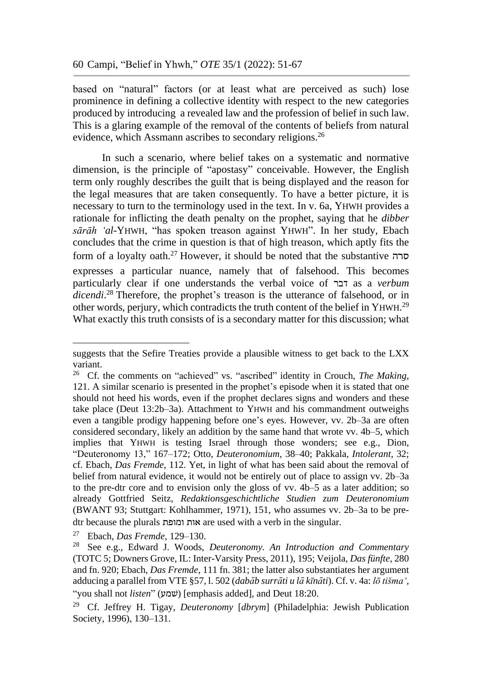based on "natural" factors (or at least what are perceived as such) lose prominence in defining a collective identity with respect to the new categories produced by introducing a revealed law and the profession of belief in such law. This is a glaring example of the removal of the contents of beliefs from natural evidence, which Assmann ascribes to secondary religions.<sup>26</sup>

In such a scenario, where belief takes on a systematic and normative dimension, is the principle of "apostasy" conceivable. However, the English term only roughly describes the guilt that is being displayed and the reason for the legal measures that are taken consequently. To have a better picture, it is necessary to turn to the terminology used in the text. In v. 6a, YHWH provides a rationale for inflicting the death penalty on the prophet, saying that he *dibber sārāh 'al-*YHWH, "has spoken treason against YHWH". In her study, Ebach concludes that the crime in question is that of high treason, which aptly fits the form of a loyalty oath. <sup>27</sup> However, it should be noted that the substantive סרה expresses a particular nuance, namely that of falsehood. This becomes particularly clear if one understands the verbal voice of דבר as a *verbum*  dicendi.<sup>28</sup> Therefore, the prophet's treason is the utterance of falsehood, or in other words, perjury, which contradicts the truth content of the belief in YHWH.<sup>29</sup> What exactly this truth consists of is a secondary matter for this discussion; what

suggests that the Sefire Treaties provide a plausible witness to get back to the LXX variant.

<sup>26</sup> Cf. the comments on "achieved" vs. "ascribed" identity in Crouch, *The Making*, 121. A similar scenario is presented in the prophet's episode when it is stated that one should not heed his words, even if the prophet declares signs and wonders and these take place (Deut 13:2b–3a). Attachment to YHWH and his commandment outweighs even a tangible prodigy happening before one's eyes. However, vv. 2b–3a are often considered secondary, likely an addition by the same hand that wrote vv. 4b–5, which implies that YHWH is testing Israel through those wonders; see e.g., Dion, "Deuteronomy 13," 167–172; Otto, *Deuteronomium*, 38–40; Pakkala, *Intolerant*, 32; cf. Ebach, *Das Fremde*, 112. Yet, in light of what has been said about the removal of belief from natural evidence, it would not be entirely out of place to assign vv. 2b–3a to the pre-dtr core and to envision only the gloss of vv. 4b–5 as a later addition; so already Gottfried Seitz, *Redaktionsgeschichtliche Studien zum Deuteronomium* (BWANT 93; Stuttgart: Kohlhammer, 1971), 151, who assumes vv. 2b–3a to be predtr because the plurals ומופת אות are used with a verb in the singular.

<sup>27</sup> Ebach, *Das Fremde*, 129–130.

<sup>28</sup> See e.g., Edward J. Woods, *Deuteronomy. An Introduction and Commentary* (TOTC 5; Downers Grove, IL: Inter-Varsity Press, 2011), 195; Veijola, *Das fünfte*, 280 and fn. 920; Ebach, *Das Fremde*, 111 fn. 381; the latter also substantiates her argument adducing a parallel from VTE §57, l. 502 (*dabāb surrāti u lā kīnāti*). Cf. v. 4a: *lō tišma'*, "you shall not *listen*" (שׁמע] (emphasis added], and Deut 18:20.

<sup>29</sup> Cf. Jeffrey H. Tigay, *Deuteronomy* [*dbrym*] (Philadelphia: Jewish Publication Society, 1996), 130–131.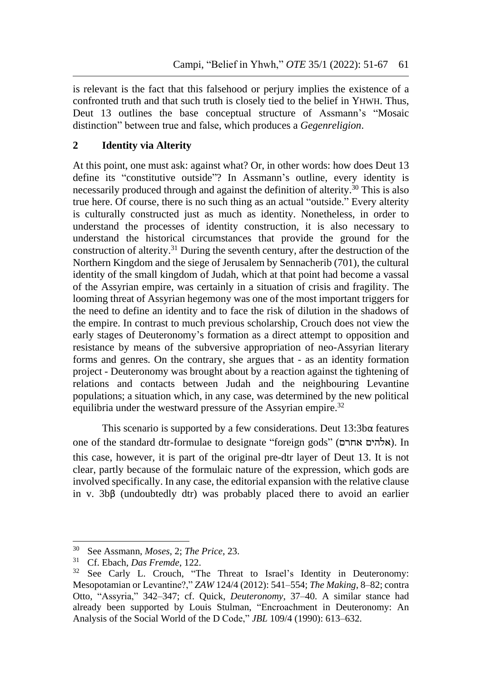is relevant is the fact that this falsehood or perjury implies the existence of a confronted truth and that such truth is closely tied to the belief in YHWH. Thus, Deut 13 outlines the base conceptual structure of Assmann's "Mosaic distinction" between true and false, which produces a *Gegenreligion*.

# **2 Identity via Alterity**

At this point, one must ask: against what? Or, in other words: how does Deut 13 define its "constitutive outside"? In Assmann's outline, every identity is necessarily produced through and against the definition of alterity. <sup>30</sup> This is also true here. Of course, there is no such thing as an actual "outside." Every alterity is culturally constructed just as much as identity. Nonetheless, in order to understand the processes of identity construction, it is also necessary to understand the historical circumstances that provide the ground for the construction of alterity.<sup>31</sup> During the seventh century, after the destruction of the Northern Kingdom and the siege of Jerusalem by Sennacherib (701), the cultural identity of the small kingdom of Judah, which at that point had become a vassal of the Assyrian empire, was certainly in a situation of crisis and fragility. The looming threat of Assyrian hegemony was one of the most important triggers for the need to define an identity and to face the risk of dilution in the shadows of the empire. In contrast to much previous scholarship, Crouch does not view the early stages of Deuteronomy's formation as a direct attempt to opposition and resistance by means of the subversive appropriation of neo-Assyrian literary forms and genres. On the contrary, she argues that - as an identity formation project - Deuteronomy was brought about by a reaction against the tightening of relations and contacts between Judah and the neighbouring Levantine populations; a situation which, in any case, was determined by the new political equilibria under the westward pressure of the Assyrian empire.<sup>32</sup>

This scenario is supported by a few considerations. Deut 13:3bα features one of the standard dtr-formulae to designate "foreign gods" (אלהים אחרם). In this case, however, it is part of the original pre-dtr layer of Deut 13. It is not clear, partly because of the formulaic nature of the expression, which gods are involved specifically. In any case, the editorial expansion with the relative clause in v. 3bβ (undoubtedly dtr) was probably placed there to avoid an earlier

<sup>30</sup> See Assmann, *Moses*, 2; *The Price*, 23.

<sup>31</sup> Cf. Ebach, *Das Fremde*, 122.

<sup>&</sup>lt;sup>32</sup> See Carly L. Crouch, "The Threat to Israel's Identity in Deuteronomy: Mesopotamian or Levantine?," *ZAW* 124/4 (2012): 541–554; *The Making*, 8–82; contra Otto, "Assyria," 342–347; cf. Quick, *Deuteronomy*, 37–40. A similar stance had already been supported by Louis Stulman, "Encroachment in Deuteronomy: An Analysis of the Social World of the D Code," *JBL* 109/4 (1990): 613–632.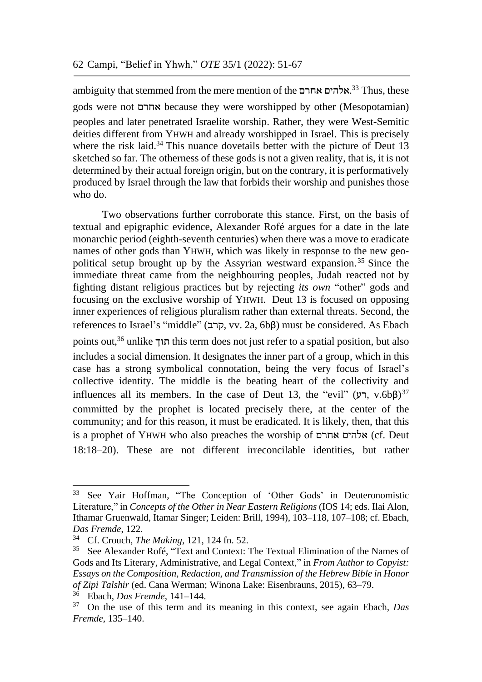ambiguity that stemmed from the mere mention of the אלהים אחרם.<sup>33</sup> Thus, these gods were not אחרם because they were worshipped by other (Mesopotamian) peoples and later penetrated Israelite worship. Rather, they were West-Semitic deities different from YHWH and already worshipped in Israel. This is precisely where the risk laid.<sup>34</sup> This nuance dovetails better with the picture of Deut 13 sketched so far. The otherness of these gods is not a given reality, that is, it is not determined by their actual foreign origin, but on the contrary, it is performatively produced by Israel through the law that forbids their worship and punishes those who do.

Two observations further corroborate this stance. First, on the basis of textual and epigraphic evidence, Alexander Rofé argues for a date in the late monarchic period (eighth-seventh centuries) when there was a move to eradicate names of other gods than YHWH, which was likely in response to the new geopolitical setup brought up by the Assyrian westward expansion. <sup>35</sup> Since the immediate threat came from the neighbouring peoples, Judah reacted not by fighting distant religious practices but by rejecting *its own* "other" gods and focusing on the exclusive worship of YHWH. Deut 13 is focused on opposing inner experiences of religious pluralism rather than external threats. Second, the references to Israel's "middle" (קרב, vv. 2a, 6bβ) must be considered. As Ebach points out,<sup>36</sup> unlike תוך this term does not just refer to a spatial position, but also includes a social dimension. It designates the inner part of a group, which in this case has a strong symbolical connotation, being the very focus of Israel's collective identity. The middle is the beating heart of the collectivity and influences all its members. In the case of Deut 13, the "evil"  $(v, v.6b\beta)^{37}$ committed by the prophet is located precisely there, at the center of the community; and for this reason, it must be eradicated. It is likely, then, that this is a prophet of YHWH who also preaches the worship of אחרם אלהים) cf. Deut 18:18–20). These are not different irreconcilable identities, but rather

<sup>33</sup> See Yair Hoffman, "The Conception of 'Other Gods' in Deuteronomistic Literature," in *Concepts of the Other in Near Eastern Religions* (IOS 14; eds. Ilai Alon, Ithamar Gruenwald, Itamar Singer; Leiden: Brill, 1994), 103–118, 107–108; cf. Ebach, *Das Fremde*, 122.

<sup>34</sup> Cf. Crouch, *The Making*, 121, 124 fn. 52.

<sup>35</sup> See Alexander Rofé, "Text and Context: The Textual Elimination of the Names of Gods and Its Literary, Administrative, and Legal Context," in *From Author to Copyist: Essays on the Composition, Redaction, and Transmission of the Hebrew Bible in Honor of Zipi Talshir* (ed. Cana Werman; Winona Lake: Eisenbrauns, 2015), 63–79.

<sup>36</sup> Ebach, *Das Fremde*, 141–144.

<sup>37</sup> On the use of this term and its meaning in this context, see again Ebach, *Das Fremde*, 135–140.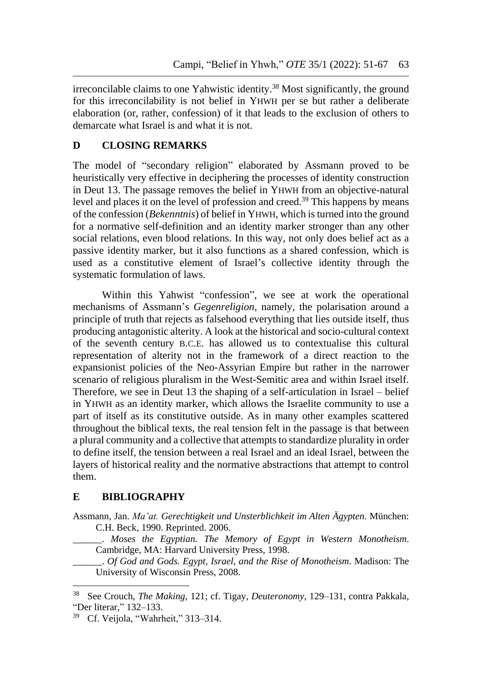irreconcilable claims to one Yahwistic identity.<sup>38</sup> Most significantly, the ground for this irreconcilability is not belief in YHWH per se but rather a deliberate elaboration (or, rather, confession) of it that leads to the exclusion of others to demarcate what Israel is and what it is not.

# **D CLOSING REMARKS**

The model of "secondary religion" elaborated by Assmann proved to be heuristically very effective in deciphering the processes of identity construction in Deut 13. The passage removes the belief in YHWH from an objective-natural level and places it on the level of profession and creed. <sup>39</sup> This happens by means of the confession (*Bekenntnis*) of belief in YHWH, which is turned into the ground for a normative self-definition and an identity marker stronger than any other social relations, even blood relations. In this way, not only does belief act as a passive identity marker, but it also functions as a shared confession, which is used as a constitutive element of Israel's collective identity through the systematic formulation of laws.

Within this Yahwist "confession", we see at work the operational mechanisms of Assmann's *Gegenreligion*, namely, the polarisation around a principle of truth that rejects as falsehood everything that lies outside itself, thus producing antagonistic alterity. A look at the historical and socio-cultural context of the seventh century B.C.E. has allowed us to contextualise this cultural representation of alterity not in the framework of a direct reaction to the expansionist policies of the Neo-Assyrian Empire but rather in the narrower scenario of religious pluralism in the West-Semitic area and within Israel itself. Therefore, we see in Deut 13 the shaping of a self-articulation in Israel – belief in YHWH as an identity marker, which allows the Israelite community to use a part of itself as its constitutive outside. As in many other examples scattered throughout the biblical texts, the real tension felt in the passage is that between a plural community and a collective that attempts to standardize plurality in order to define itself, the tension between a real Israel and an ideal Israel, between the layers of historical reality and the normative abstractions that attempt to control them.

# **E BIBLIOGRAPHY**

<u>.</u>

Assmann, Jan. *Ma'at. Gerechtigkeit und Unsterblichkeit im Alten Ägypten*. München: C.H. Beck, 1990. Reprinted. 2006.

\_\_\_\_\_\_. *Moses the Egyptian. The Memory of Egypt in Western Monotheism*. Cambridge, MA: Harvard University Press, 1998.

\_\_\_\_\_\_. *Of God and Gods. Egypt, Israel, and the Rise of Monotheism*. Madison: The University of Wisconsin Press, 2008.

<sup>38</sup> See Crouch, *The Making*, 121; cf. Tigay, *Deuteronomy*, 129–131, contra Pakkala, "Der literar," 132–133.

<sup>39</sup> Cf. Veijola, "Wahrheit," 313–314.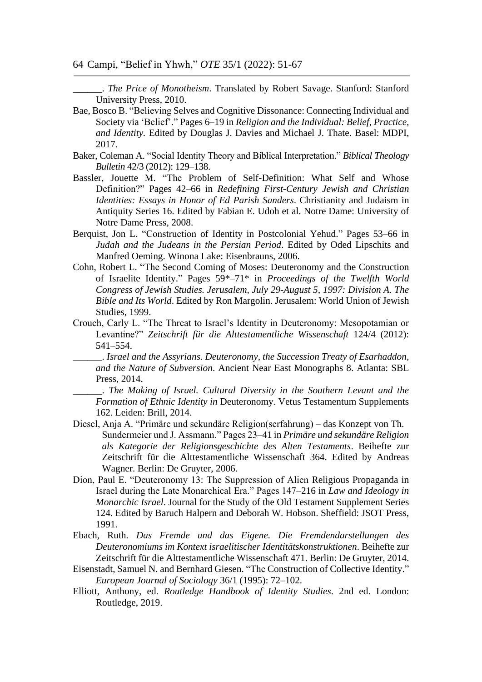64 Campi, "Belief in Yhwh," *OTE* 35/1 (2022): 51-67

\_\_\_\_\_\_. *The Price of Monotheism*. Translated by Robert Savage. Stanford: Stanford University Press, 2010.

- Bae, Bosco B. "Believing Selves and Cognitive Dissonance: Connecting Individual and Society via 'Belief'." Pages 6–19 in *Religion and the Individual: Belief, Practice, and Identity.* Edited by Douglas J. Davies and Michael J. Thate. Basel: MDPI, 2017.
- Baker, Coleman A. "Social Identity Theory and Biblical Interpretation." *Biblical Theology Bulletin* 42/3 (2012): 129–138.
- Bassler, Jouette M. "The Problem of Self-Definition: What Self and Whose Definition?" Pages 42–66 in *Redefining First-Century Jewish and Christian Identities: Essays in Honor of Ed Parish Sanders*. Christianity and Judaism in Antiquity Series 16. Edited by Fabian E. Udoh et al. Notre Dame: University of Notre Dame Press, 2008.
- Berquist, Jon L. "Construction of Identity in Postcolonial Yehud." Pages 53–66 in *Judah and the Judeans in the Persian Period*. Edited by Oded Lipschits and Manfred Oeming. Winona Lake: Eisenbrauns, 2006.
- Cohn, Robert L. "The Second Coming of Moses: Deuteronomy and the Construction of Israelite Identity." Pages 59\*–71\* in *Proceedings of the Twelfth World Congress of Jewish Studies. Jerusalem, July 29-August 5, 1997: Division A. The Bible and Its World*. Edited by Ron Margolin. Jerusalem: World Union of Jewish Studies, 1999.
- Crouch, Carly L. "The Threat to Israel's Identity in Deuteronomy: Mesopotamian or Levantine?" *Zeitschrift für die Alttestamentliche Wissenschaft* 124/4 (2012): 541–554.
	- \_\_\_\_\_\_. *Israel and the Assyrians. Deuteronomy, the Succession Treaty of Esarhaddon, and the Nature of Subversion*. Ancient Near East Monographs 8. Atlanta: SBL Press, 2014.
	- \_\_\_\_\_\_. *The Making of Israel. Cultural Diversity in the Southern Levant and the Formation of Ethnic Identity in* Deuteronomy. Vetus Testamentum Supplements 162. Leiden: Brill, 2014.
- Diesel, Anja A. "Primäre und sekundäre Religion(serfahrung) das Konzept von Th. Sundermeier und J. Assmann." Pages 23–41 in *Primäre und sekundäre Religion als Kategorie der Religionsgeschichte des Alten Testaments*. Beihefte zur Zeitschrift für die Alttestamentliche Wissenschaft 364. Edited by Andreas Wagner. Berlin: De Gruyter, 2006.
- Dion, Paul E. "Deuteronomy 13: The Suppression of Alien Religious Propaganda in Israel during the Late Monarchical Era." Pages 147–216 in *Law and Ideology in Monarchic Israel*. Journal for the Study of the Old Testament Supplement Series 124. Edited by Baruch Halpern and Deborah W. Hobson. Sheffield: JSOT Press, 1991.
- Ebach, Ruth. *Das Fremde und das Eigene. Die Fremdendarstellungen des Deuteronomiums im Kontext israelitischer Identitätskonstruktionen*. Beihefte zur Zeitschrift für die Alttestamentliche Wissenschaft 471. Berlin: De Gruyter, 2014.
- Eisenstadt, Samuel N. and Bernhard Giesen. "The Construction of Collective Identity." *European Journal of Sociology* 36/1 (1995): 72–102.
- Elliott, Anthony, ed. *Routledge Handbook of Identity Studies*. 2nd ed. London: Routledge, 2019.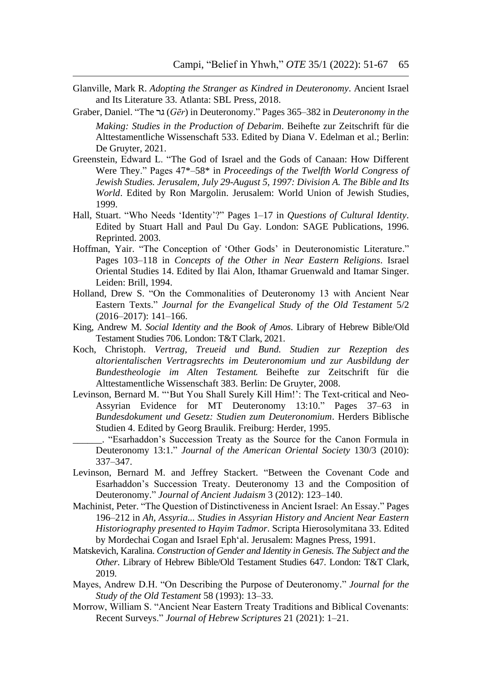- Glanville, Mark R. *Adopting the Stranger as Kindred in Deuteronomy*. Ancient Israel and Its Literature 33. Atlanta: SBL Press, 2018.
- Graber, Daniel. "The גר) *Gēr*) in Deuteronomy." Pages 365–382 in *Deuteronomy in the Making: Studies in the Production of Debarim*. Beihefte zur Zeitschrift für die Alttestamentliche Wissenschaft 533. Edited by Diana V. Edelman et al.; Berlin: De Gruyter, 2021.
- Greenstein, Edward L. "The God of Israel and the Gods of Canaan: How Different Were They." Pages 47\*–58\* in *Proceedings of the Twelfth World Congress of Jewish Studies. Jerusalem, July 29-August 5, 1997: Division A. The Bible and Its World*. Edited by Ron Margolin. Jerusalem: World Union of Jewish Studies, 1999.
- Hall, Stuart. "Who Needs 'Identity'?" Pages 1–17 in *Questions of Cultural Identity*. Edited by Stuart Hall and Paul Du Gay. London: SAGE Publications, 1996. Reprinted. 2003.
- Hoffman, Yair. "The Conception of 'Other Gods' in Deuteronomistic Literature." Pages 103–118 in *Concepts of the Other in Near Eastern Religions*. Israel Oriental Studies 14. Edited by Ilai Alon, Ithamar Gruenwald and Itamar Singer. Leiden: Brill, 1994.
- Holland, Drew S. "On the Commonalities of Deuteronomy 13 with Ancient Near Eastern Texts." *Journal for the Evangelical Study of the Old Testament* 5/2 (2016–2017): 141–166.
- King, Andrew M. *Social Identity and the Book of Amos*. Library of Hebrew Bible/Old Testament Studies 706. London: T&T Clark, 2021.
- Koch, Christoph. *Vertrag, Treueid und Bund. Studien zur Rezeption des altorientalischen Vertragsrechts im Deuteronomium und zur Ausbildung der Bundestheologie im Alten Testament.* Beihefte zur Zeitschrift für die Alttestamentliche Wissenschaft 383. Berlin: De Gruyter, 2008.
- Levinson, Bernard M. "'But You Shall Surely Kill Him!': The Text-critical and Neo-Assyrian Evidence for MT Deuteronomy 13:10." Pages 37–63 in *Bundesdokument und Gesetz: Studien zum Deuteronomium*. Herders Biblische Studien 4. Edited by Georg Braulik. Freiburg: Herder, 1995.
	- \_\_\_\_\_\_. "Esarhaddon's Succession Treaty as the Source for the Canon Formula in Deuteronomy 13:1." *Journal of the American Oriental Society* 130/3 (2010): 337–347.
- Levinson, Bernard M. and Jeffrey Stackert. "Between the Covenant Code and Esarhaddon's Succession Treaty. Deuteronomy 13 and the Composition of Deuteronomy." *Journal of Ancient Judaism* 3 (2012): 123–140.
- Machinist, Peter. "The Question of Distinctiveness in Ancient Israel: An Essay." Pages 196–212 in *Ah, Assyria... Studies in Assyrian History and Ancient Near Eastern Historiography presented to Hayim Tadmor*. Scripta Hierosolymitana 33. Edited by Mordechai Cogan and Israel Eph'al. Jerusalem: Magnes Press, 1991.
- Matskevich, Karalina. *Construction of Gender and Identity in Genesis. The Subject and the Other*. Library of Hebrew Bible/Old Testament Studies 647. London: T&T Clark, 2019.
- Mayes, Andrew D.H. "On Describing the Purpose of Deuteronomy." *Journal for the Study of the Old Testament* 58 (1993): 13–33.
- Morrow, William S. "Ancient Near Eastern Treaty Traditions and Biblical Covenants: Recent Surveys." *Journal of Hebrew Scriptures* 21 (2021): 1–21.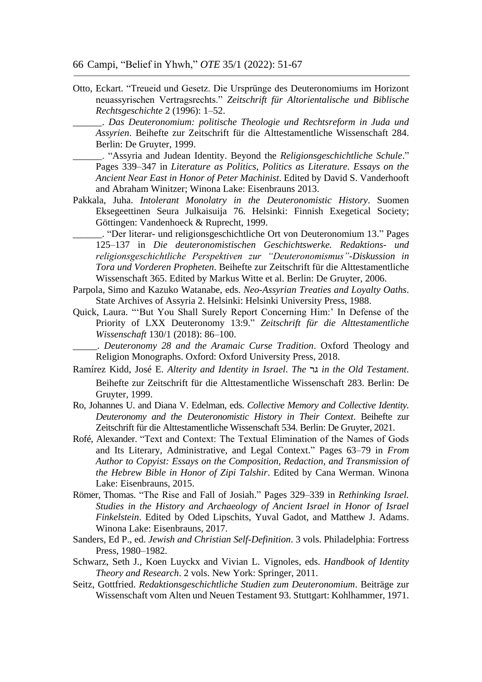Otto, Eckart. "Treueid und Gesetz. Die Ursprünge des Deuteronomiums im Horizont neuassyrischen Vertragsrechts." *Zeitschrift für Altorientalische und Biblische Rechtsgeschichte* 2 (1996): 1–52.

\_\_\_\_\_\_. *Das Deuteronomium: politische Theologie und Rechtsreform in Juda und Assyrien*. Beihefte zur Zeitschrift für die Alttestamentliche Wissenschaft 284. Berlin: De Gruyter, 1999.

- \_\_\_\_\_\_. "Assyria and Judean Identity. Beyond the *Religionsgeschichtliche Schule*." Pages 339–347 in *Literature as Politics, Politics as Literature. Essays on the Ancient Near East in Honor of Peter Machinist*. Edited by David S. Vanderhooft and Abraham Winitzer; Winona Lake: Eisenbrauns 2013.
- Pakkala, Juha. *Intolerant Monolatry in the Deuteronomistic History*. Suomen Eksegeettinen Seura Julkaisuija 76. Helsinki: Finnish Exegetical Society; Göttingen: Vandenhoeck & Ruprecht, 1999.

\_\_\_\_\_\_. "Der literar- und religionsgeschichtliche Ort von Deuteronomium 13." Pages 125–137 in *Die deuteronomistischen Geschichtswerke. Redaktions- und religionsgeschichtliche Perspektiven zur "Deuteronomismus"-Diskussion in Tora und Vorderen Propheten*. Beihefte zur Zeitschrift für die Alttestamentliche Wissenschaft 365. Edited by Markus Witte et al. Berlin: De Gruyter, 2006.

- Parpola, Simo and Kazuko Watanabe, eds. *Neo-Assyrian Treaties and Loyalty Oaths*. State Archives of Assyria 2. Helsinki: Helsinki University Press, 1988.
- Quick, Laura. "'But You Shall Surely Report Concerning Him:' In Defense of the Priority of LXX Deuteronomy 13:9." *Zeitschrift für die Alttestamentliche Wissenschaft* 130/1 (2018): 86–100.

\_\_\_\_\_. *Deuteronomy 28 and the Aramaic Curse Tradition*. Oxford Theology and Religion Monographs. Oxford: Oxford University Press, 2018.

- Ramírez Kidd, José E. *Alterity and Identity in Israel*. *The* גר *in the Old Testament*. Beihefte zur Zeitschrift für die Alttestamentliche Wissenschaft 283. Berlin: De Gruyter, 1999.
- Ro, Johannes U. and Diana V. Edelman, eds. *Collective Memory and Collective Identity. Deuteronomy and the Deuteronomistic History in Their Context*. Beihefte zur Zeitschrift für die Alttestamentliche Wissenschaft 534. Berlin: De Gruyter, 2021.
- Rofé, Alexander. "Text and Context: The Textual Elimination of the Names of Gods and Its Literary, Administrative, and Legal Context." Pages 63–79 in *From Author to Copyist: Essays on the Composition, Redaction, and Transmission of the Hebrew Bible in Honor of Zipi Talshir*. Edited by Cana Werman. Winona Lake: Eisenbrauns, 2015.
- Römer, Thomas. "The Rise and Fall of Josiah." Pages 329–339 in *Rethinking Israel. Studies in the History and Archaeology of Ancient Israel in Honor of Israel Finkelstein*. Edited by Oded Lipschits, Yuval Gadot, and Matthew J. Adams. Winona Lake: Eisenbrauns, 2017.
- Sanders, Ed P., ed. *Jewish and Christian Self-Definition*. 3 vols. Philadelphia: Fortress Press, 1980–1982.
- Schwarz, Seth J., Koen Luyckx and Vivian L. Vignoles, eds. *Handbook of Identity Theory and Research*. 2 vols. New York: Springer, 2011.
- Seitz, Gottfried. *Redaktionsgeschichtliche Studien zum Deuteronomium*. Beiträge zur Wissenschaft vom Alten und Neuen Testament 93. Stuttgart: Kohlhammer, 1971.